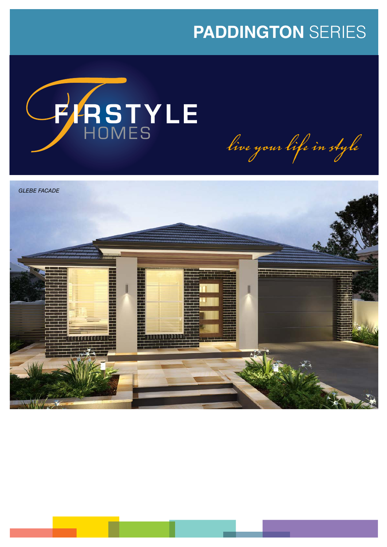# **PADDINGTON** SERIES



live your life in style

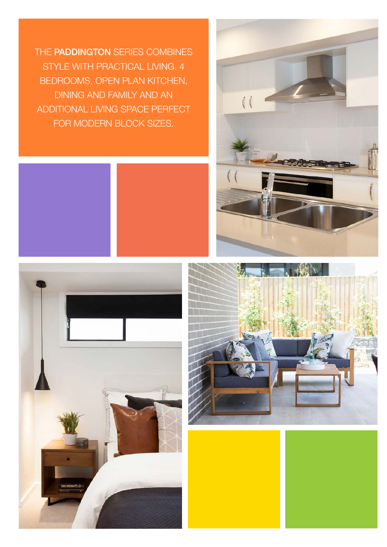THE PADDINGTON SERIES COMBINES STYLE WITH PRACTICAL LIVING. 4 BEDROOMS, OPEN PLAN KITCHEN, DINING AND FAMILY AND AN ADDITIONAL LIVING SPACE PERFECT FOR MODERN BLOCK SIZES.







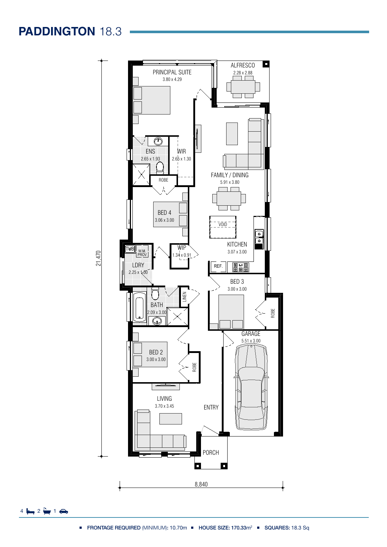**PADDINGTON** 18.3



Ground Floor

142.45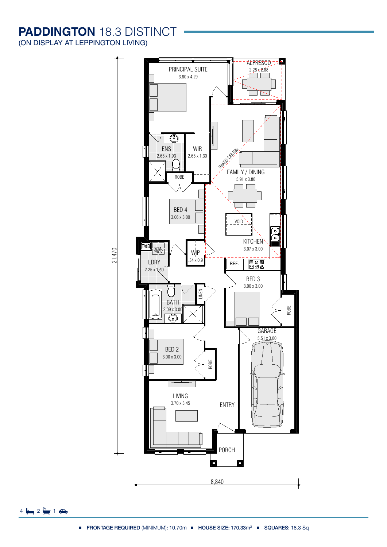## **PADDINGTON** 18.3 DISTINCT

(ON DISPLAY AT LEPPINGTON LIVING)



 $4 \frac{1}{2} \left( \frac{1}{2} \right)$  1.70mm

HOUSE SIZE:

design are to be used as a guide only. Purchases are advised to refer to the Land Contract

170.33 m2

Ground Floor

142.45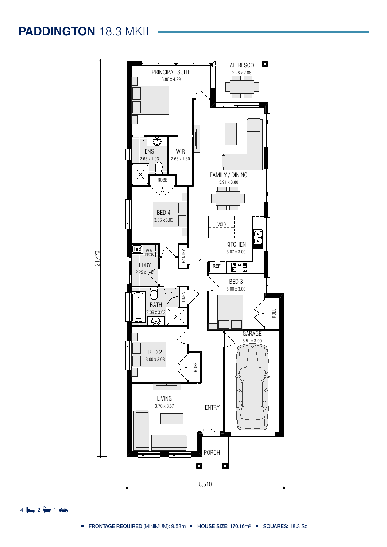## **PADDINGTON** 18.3 MKII



 $4 \Leftrightarrow 2 \Leftrightarrow 1 \Leftrightarrow$ 

Gross Areas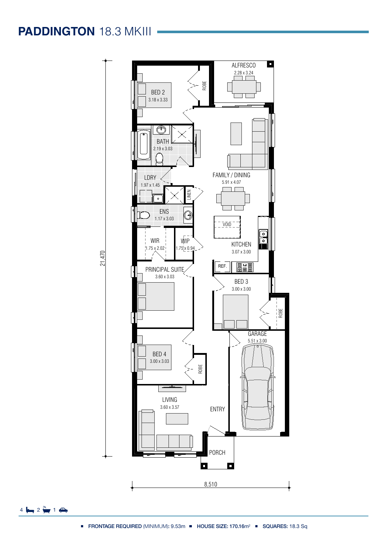# **PADDINGTON** 18.3 MKIII -



 $4 \Leftrightarrow 2 \Leftrightarrow 1 \Leftrightarrow$ 

Gross Areas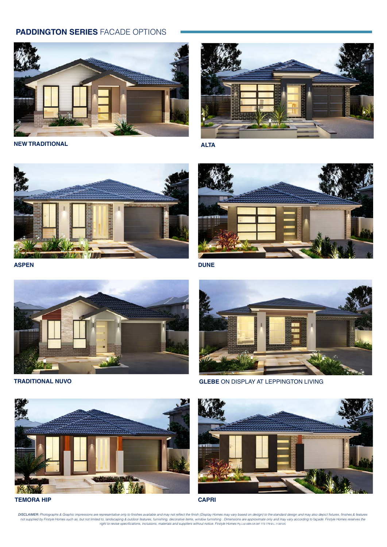#### **PADDINGTON SERIES** FACADE OPTIONS



**NEW TRADITIONAL**



**ALTA**



**ASPEN**



**DUNE**



**TRADITIONAL NUVO**



**GLEBE** ON DISPLAY AT LEPPINGTON LIVING



**TEMORA HIP CAPRI**

DISCLAIMER: Photographs & Graphic impressions are representative only to finishes available and may not reflect the finish (Display Homes may vary based on design) to the standard design and may also depict fixtures, finis not supplied by Firstyle Homes such as, but not limited to, landscaping & outdoor features, furnishing, decorative items, window furnishing . Dimensions are approximate only and may vary according to façade. Firstyle Homes